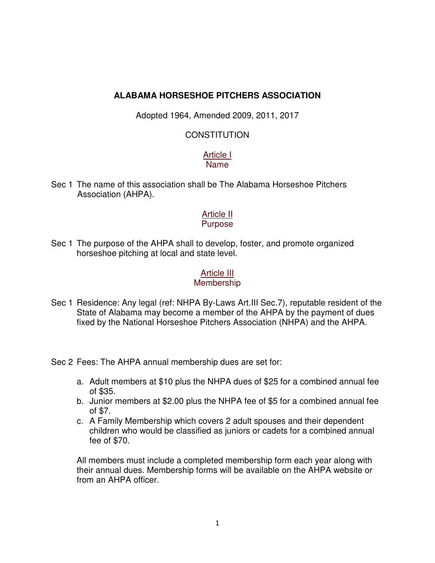# **ALABAMA HORSESHOE PITCHERS ASSOCIATION**

Adopted 1964, Amended 2009, 2011, 2017

### CONSTITUTION

### Article I Name

Sec 1 The name of this association shall be The Alabama Horseshoe Pitchers Association (AHPA).

### Article II **Purpose**

Sec 1 The purpose of the AHPA shall to develop, foster, and promote organized horseshoe pitching at local and state level.

# Article III

### **Membership**

Sec 1 Residence: Any legal (ref: NHPA By-Laws Art.III Sec.7), reputable resident of the State of Alabama may become a member of the AHPA by the payment of dues fixed by the National Horseshoe Pitchers Association (NHPA) and the AHPA.

Sec 2 Fees: The AHPA annual membership dues are set for:

- a. Adult members at \$10 plus the NHPA dues of \$25 for a combined annual fee of \$35.
- b. Junior members at \$2.00 plus the NHPA fee of \$5 for a combined annual fee of \$7.
- c. A Family Membership which covers 2 adult spouses and their dependent children who would be classified as juniors or cadets for a combined annual fee of \$70.

All members must include a completed membership form each year along with their annual dues. Membership forms will be available on the AHPA website or from an AHPA officer.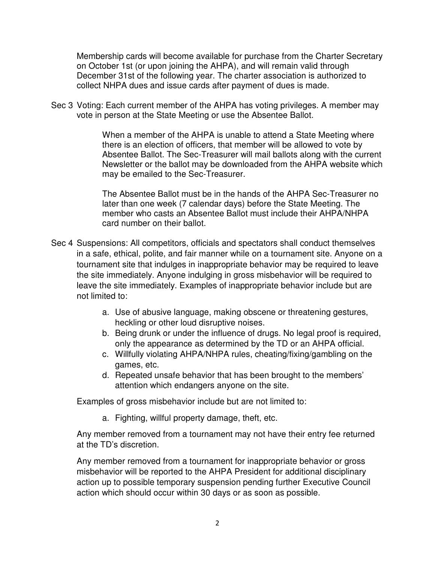Membership cards will become available for purchase from the Charter Secretary on October 1st (or upon joining the AHPA), and will remain valid through December 31st of the following year. The charter association is authorized to collect NHPA dues and issue cards after payment of dues is made.

Sec 3 Voting: Each current member of the AHPA has voting privileges. A member may vote in person at the State Meeting or use the Absentee Ballot.

> When a member of the AHPA is unable to attend a State Meeting where there is an election of officers, that member will be allowed to vote by Absentee Ballot. The Sec-Treasurer will mail ballots along with the current Newsletter or the ballot may be downloaded from the AHPA website which may be emailed to the Sec-Treasurer.

 The Absentee Ballot must be in the hands of the AHPA Sec-Treasurer no later than one week (7 calendar days) before the State Meeting. The member who casts an Absentee Ballot must include their AHPA/NHPA card number on their ballot.

- Sec 4 Suspensions: All competitors, officials and spectators shall conduct themselves in a safe, ethical, polite, and fair manner while on a tournament site. Anyone on a tournament site that indulges in inappropriate behavior may be required to leave the site immediately. Anyone indulging in gross misbehavior will be required to leave the site immediately. Examples of inappropriate behavior include but are not limited to:
	- a. Use of abusive language, making obscene or threatening gestures, heckling or other loud disruptive noises.
	- b. Being drunk or under the influence of drugs. No legal proof is required, only the appearance as determined by the TD or an AHPA official.
	- c. Willfully violating AHPA/NHPA rules, cheating/fixing/gambling on the games, etc.
	- d. Repeated unsafe behavior that has been brought to the members' attention which endangers anyone on the site.

Examples of gross misbehavior include but are not limited to:

a. Fighting, willful property damage, theft, etc.

Any member removed from a tournament may not have their entry fee returned at the TD's discretion.

Any member removed from a tournament for inappropriate behavior or gross misbehavior will be reported to the AHPA President for additional disciplinary action up to possible temporary suspension pending further Executive Council action which should occur within 30 days or as soon as possible.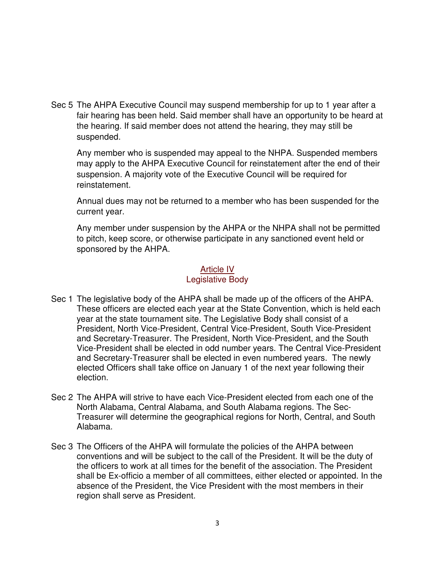Sec 5 The AHPA Executive Council may suspend membership for up to 1 year after a fair hearing has been held. Said member shall have an opportunity to be heard at the hearing. If said member does not attend the hearing, they may still be suspended.

 Any member who is suspended may appeal to the NHPA. Suspended members may apply to the AHPA Executive Council for reinstatement after the end of their suspension. A majority vote of the Executive Council will be required for reinstatement.

 Annual dues may not be returned to a member who has been suspended for the current year.

 Any member under suspension by the AHPA or the NHPA shall not be permitted to pitch, keep score, or otherwise participate in any sanctioned event held or sponsored by the AHPA.

# **Article IV** Legislative Body

- Sec 1 The legislative body of the AHPA shall be made up of the officers of the AHPA. These officers are elected each year at the State Convention, which is held each year at the state tournament site. The Legislative Body shall consist of a President, North Vice-President, Central Vice-President, South Vice-President and Secretary-Treasurer. The President, North Vice-President, and the South Vice-President shall be elected in odd number years. The Central Vice-President and Secretary-Treasurer shall be elected in even numbered years. The newly elected Officers shall take office on January 1 of the next year following their election.
- Sec 2 The AHPA will strive to have each Vice-President elected from each one of the North Alabama, Central Alabama, and South Alabama regions. The Sec-Treasurer will determine the geographical regions for North, Central, and South Alabama.
- Sec 3 The Officers of the AHPA will formulate the policies of the AHPA between conventions and will be subject to the call of the President. It will be the duty of the officers to work at all times for the benefit of the association. The President shall be Ex-officio a member of all committees, either elected or appointed. In the absence of the President, the Vice President with the most members in their region shall serve as President.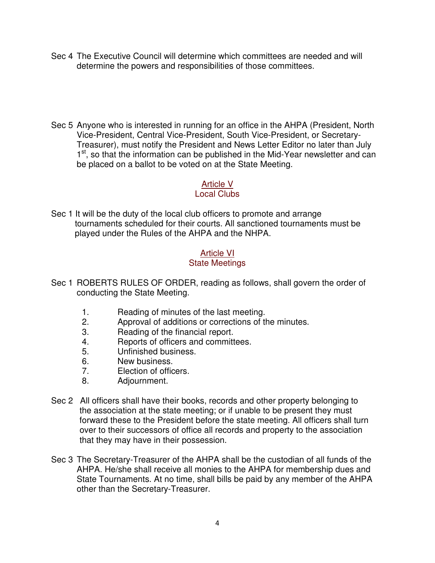- Sec 4 The Executive Council will determine which committees are needed and will determine the powers and responsibilities of those committees.
- Sec 5 Anyone who is interested in running for an office in the AHPA (President, North Vice-President, Central Vice-President, South Vice-President, or Secretary-Treasurer), must notify the President and News Letter Editor no later than July 1<sup>st</sup>, so that the information can be published in the Mid-Year newsletter and can be placed on a ballot to be voted on at the State Meeting.

# Article V

### Local Clubs

Sec 1 It will be the duty of the local club officers to promote and arrange tournaments scheduled for their courts. All sanctioned tournaments must be played under the Rules of the AHPA and the NHPA.

# Article VI

# State Meetings

- Sec 1 ROBERTS RULES OF ORDER, reading as follows, shall govern the order of conducting the State Meeting.
	- 1. Reading of minutes of the last meeting.
	- 2. Approval of additions or corrections of the minutes.
	- 3. Reading of the financial report.
	- 4. Reports of officers and committees.
	- 5. Unfinished business.
	- 6. New business.
	- 7. Election of officers.
	- 8. Adjournment.
- Sec 2 All officers shall have their books, records and other property belonging to the association at the state meeting; or if unable to be present they must forward these to the President before the state meeting. All officers shall turn over to their successors of office all records and property to the association that they may have in their possession.
- Sec 3 The Secretary-Treasurer of the AHPA shall be the custodian of all funds of the AHPA. He/she shall receive all monies to the AHPA for membership dues and State Tournaments. At no time, shall bills be paid by any member of the AHPA other than the Secretary-Treasurer.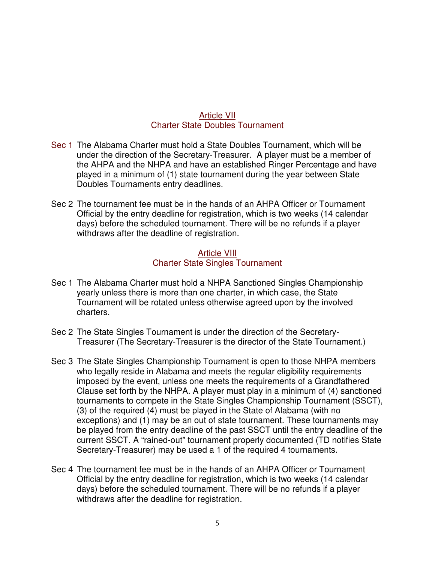#### Article VII Charter State Doubles Tournament

- Sec 1 The Alabama Charter must hold a State Doubles Tournament, which will be under the direction of the Secretary-Treasurer. A player must be a member of the AHPA and the NHPA and have an established Ringer Percentage and have played in a minimum of (1) state tournament during the year between State Doubles Tournaments entry deadlines.
- Sec 2 The tournament fee must be in the hands of an AHPA Officer or Tournament Official by the entry deadline for registration, which is two weeks (14 calendar days) before the scheduled tournament. There will be no refunds if a player withdraws after the deadline of registration.

### Article VIII Charter State Singles Tournament

- Sec 1 The Alabama Charter must hold a NHPA Sanctioned Singles Championship yearly unless there is more than one charter, in which case, the State Tournament will be rotated unless otherwise agreed upon by the involved charters.
- Sec 2 The State Singles Tournament is under the direction of the Secretary- Treasurer (The Secretary-Treasurer is the director of the State Tournament.)
- Sec 3 The State Singles Championship Tournament is open to those NHPA members who legally reside in Alabama and meets the regular eligibility requirements imposed by the event, unless one meets the requirements of a Grandfathered Clause set forth by the NHPA. A player must play in a minimum of (4) sanctioned tournaments to compete in the State Singles Championship Tournament (SSCT), (3) of the required (4) must be played in the State of Alabama (with no exceptions) and (1) may be an out of state tournament. These tournaments may be played from the entry deadline of the past SSCT until the entry deadline of the current SSCT. A "rained-out" tournament properly documented (TD notifies State Secretary-Treasurer) may be used a 1 of the required 4 tournaments.
- Sec 4 The tournament fee must be in the hands of an AHPA Officer or Tournament Official by the entry deadline for registration, which is two weeks (14 calendar days) before the scheduled tournament. There will be no refunds if a player withdraws after the deadline for registration.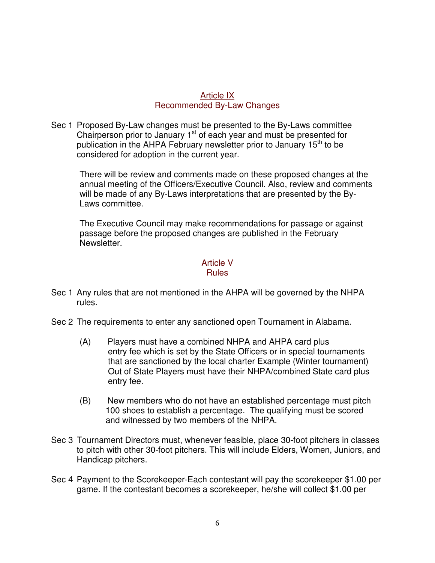### Article IX Recommended By-Law Changes

Sec 1 Proposed By-Law changes must be presented to the By-Laws committee Chairperson prior to January 1<sup>st</sup> of each year and must be presented for publication in the AHPA February newsletter prior to January 15<sup>th</sup> to be considered for adoption in the current year.

 There will be review and comments made on these proposed changes at the annual meeting of the Officers/Executive Council. Also, review and comments will be made of any By-Laws interpretations that are presented by the By- Laws committee.

 The Executive Council may make recommendations for passage or against passage before the proposed changes are published in the February Newsletter.

#### Article V Rules

- Sec 1 Any rules that are not mentioned in the AHPA will be governed by the NHPA rules.
- Sec 2 The requirements to enter any sanctioned open Tournament in Alabama.
	- (A) Players must have a combined NHPA and AHPA card plus entry fee which is set by the State Officers or in special tournaments that are sanctioned by the local charter Example (Winter tournament) Out of State Players must have their NHPA/combined State card plus entry fee.
	- (B) New members who do not have an established percentage must pitch 100 shoes to establish a percentage. The qualifying must be scored and witnessed by two members of the NHPA.
- Sec 3 Tournament Directors must, whenever feasible, place 30-foot pitchers in classes to pitch with other 30-foot pitchers. This will include Elders, Women, Juniors, and Handicap pitchers.
- Sec 4 Payment to the Scorekeeper-Each contestant will pay the scorekeeper \$1.00 per game. If the contestant becomes a scorekeeper, he/she will collect \$1.00 per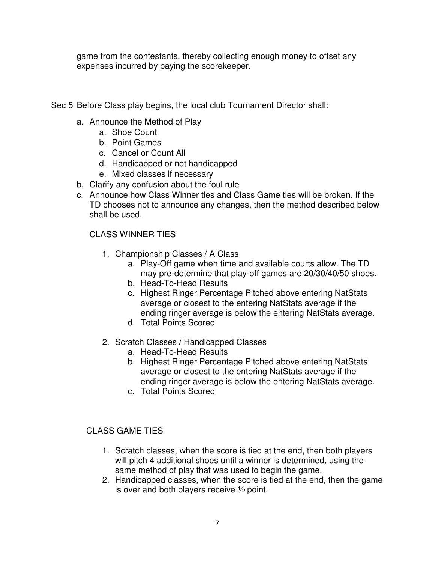game from the contestants, thereby collecting enough money to offset any expenses incurred by paying the scorekeeper.

Sec 5 Before Class play begins, the local club Tournament Director shall:

- a. Announce the Method of Play
	- a. Shoe Count
	- b. Point Games
	- c. Cancel or Count All
	- d. Handicapped or not handicapped
	- e. Mixed classes if necessary
- b. Clarify any confusion about the foul rule
- c. Announce how Class Winner ties and Class Game ties will be broken. If the TD chooses not to announce any changes, then the method described below shall be used.

# CLASS WINNER TIES

- 1. Championship Classes / A Class
	- a. Play-Off game when time and available courts allow. The TD may pre-determine that play-off games are 20/30/40/50 shoes.
	- b. Head-To-Head Results
	- c. Highest Ringer Percentage Pitched above entering NatStats average or closest to the entering NatStats average if the ending ringer average is below the entering NatStats average.
	- d. Total Points Scored
- 2. Scratch Classes / Handicapped Classes
	- a. Head-To-Head Results
	- b. Highest Ringer Percentage Pitched above entering NatStats average or closest to the entering NatStats average if the ending ringer average is below the entering NatStats average.
	- c. Total Points Scored

### CLASS GAME TIES

- 1. Scratch classes, when the score is tied at the end, then both players will pitch 4 additional shoes until a winner is determined, using the same method of play that was used to begin the game.
- 2. Handicapped classes, when the score is tied at the end, then the game is over and both players receive ½ point.